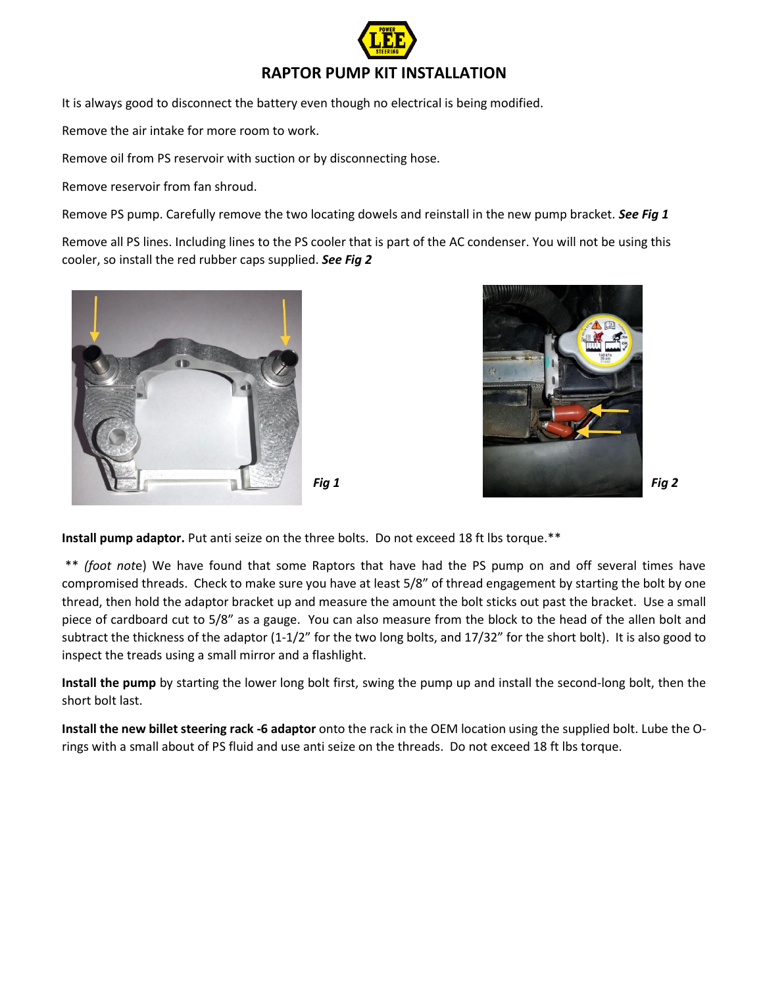

It is always good to disconnect the battery even though no electrical is being modified.

Remove the air intake for more room to work.

Remove oil from PS reservoir with suction or by disconnecting hose.

Remove reservoir from fan shroud.

Remove PS pump. Carefully remove the two locating dowels and reinstall in the new pump bracket. *See Fig 1*

Remove all PS lines. Including lines to the PS cooler that is part of the AC condenser. You will not be using this cooler, so install the red rubber caps supplied. *See Fig 2*





**Install pump adaptor.** Put anti seize on the three bolts. Do not exceed 18 ft lbs torque.\*\*

\*\* *(foot not*e) We have found that some Raptors that have had the PS pump on and off several times have compromised threads. Check to make sure you have at least 5/8" of thread engagement by starting the bolt by one thread, then hold the adaptor bracket up and measure the amount the bolt sticks out past the bracket. Use a small piece of cardboard cut to 5/8" as a gauge. You can also measure from the block to the head of the allen bolt and subtract the thickness of the adaptor (1-1/2" for the two long bolts, and 17/32" for the short bolt). It is also good to inspect the treads using a small mirror and a flashlight.

**Install the pump** by starting the lower long bolt first, swing the pump up and install the second-long bolt, then the short bolt last.

**Install the new billet steering rack -6 adaptor** onto the rack in the OEM location using the supplied bolt. Lube the Orings with a small about of PS fluid and use anti seize on the threads. Do not exceed 18 ft lbs torque.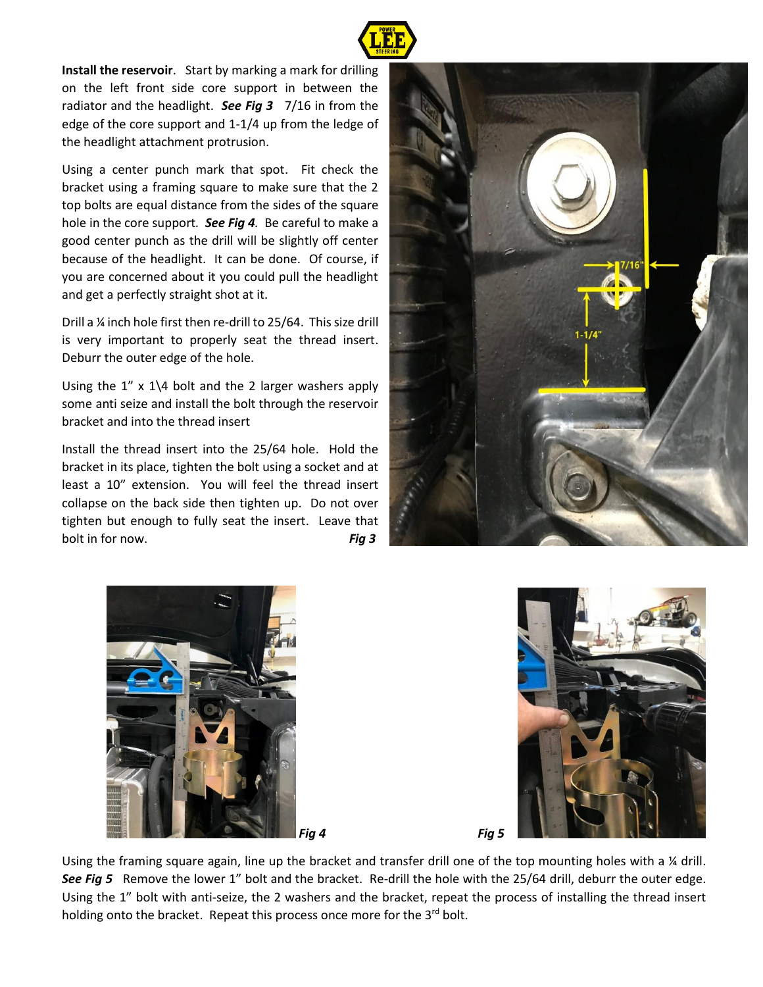

**Install the reservoir**. Start by marking a mark for drilling on the left front side core support in between the radiator and the headlight. *See Fig 3* 7/16 in from the edge of the core support and 1-1/4 up from the ledge of the headlight attachment protrusion.

Using a center punch mark that spot. Fit check the bracket using a framing square to make sure that the 2 top bolts are equal distance from the sides of the square hole in the core support*. See Fig 4.* Be careful to make a good center punch as the drill will be slightly off center because of the headlight. It can be done. Of course, if you are concerned about it you could pull the headlight and get a perfectly straight shot at it.

Drill a ¼ inch hole first then re-drill to 25/64. This size drill is very important to properly seat the thread insert. Deburr the outer edge of the hole.

Using the  $1''$  x  $1\backslash 4$  bolt and the 2 larger washers apply some anti seize and install the bolt through the reservoir bracket and into the thread insert

Install the thread insert into the 25/64 hole. Hold the bracket in its place, tighten the bolt using a socket and at least a 10" extension. You will feel the thread insert collapse on the back side then tighten up. Do not over tighten but enough to fully seat the insert. Leave that bolt in for now. **Fig 3** 







Using the framing square again, line up the bracket and transfer drill one of the top mounting holes with a % drill. *See Fig 5* Remove the lower 1" bolt and the bracket. Re-drill the hole with the 25/64 drill, deburr the outer edge. Using the 1" bolt with anti-seize, the 2 washers and the bracket, repeat the process of installing the thread insert holding onto the bracket. Repeat this process once more for the 3rd bolt.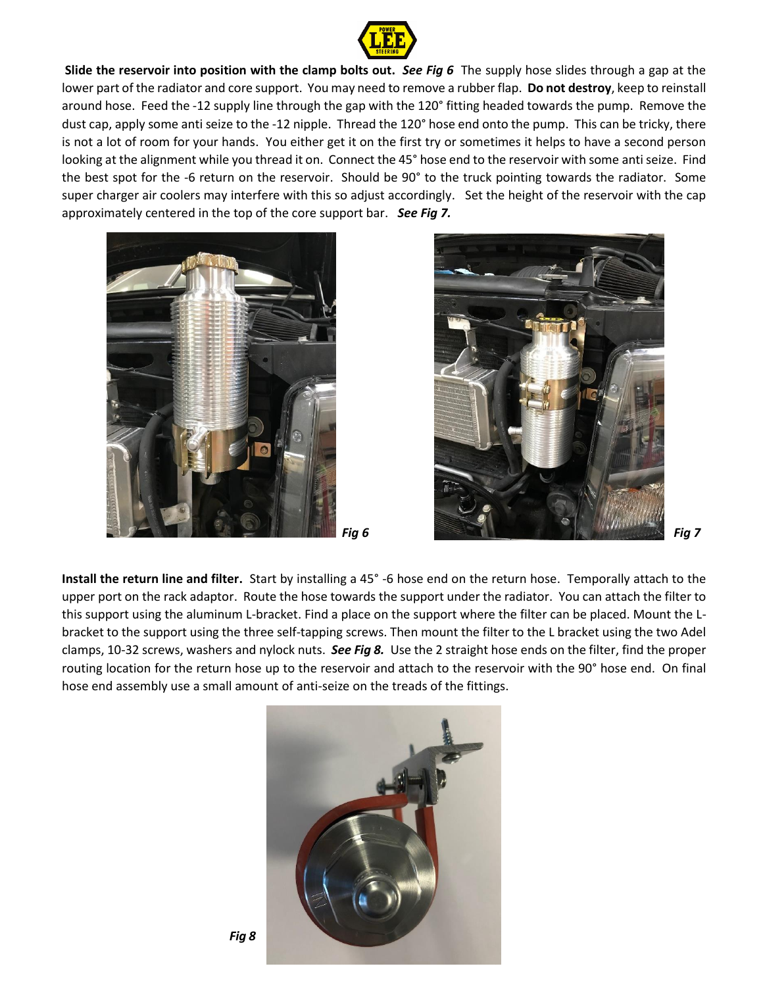

**Slide the reservoir into position with the clamp bolts out.** *See Fig 6* The supply hose slides through a gap at the lower part of the radiator and core support. You may need to remove a rubber flap. **Do not destroy**, keep to reinstall around hose. Feed the -12 supply line through the gap with the 120° fitting headed towards the pump. Remove the dust cap, apply some anti seize to the -12 nipple. Thread the 120° hose end onto the pump. This can be tricky, there is not a lot of room for your hands. You either get it on the first try or sometimes it helps to have a second person looking at the alignment while you thread it on. Connect the 45° hose end to the reservoir with some anti seize. Find the best spot for the -6 return on the reservoir. Should be 90° to the truck pointing towards the radiator. Some super charger air coolers may interfere with this so adjust accordingly. Set the height of the reservoir with the cap approximately centered in the top of the core support bar. *See Fig 7.*







**Install the return line and filter.** Start by installing a 45° -6 hose end on the return hose. Temporally attach to the upper port on the rack adaptor. Route the hose towards the support under the radiator. You can attach the filter to this support using the aluminum L-bracket. Find a place on the support where the filter can be placed. Mount the Lbracket to the support using the three self-tapping screws. Then mount the filter to the L bracket using the two Adel clamps, 10-32 screws, washers and nylock nuts. *See Fig 8.* Use the 2 straight hose ends on the filter, find the proper routing location for the return hose up to the reservoir and attach to the reservoir with the 90° hose end. On final hose end assembly use a small amount of anti-seize on the treads of the fittings.

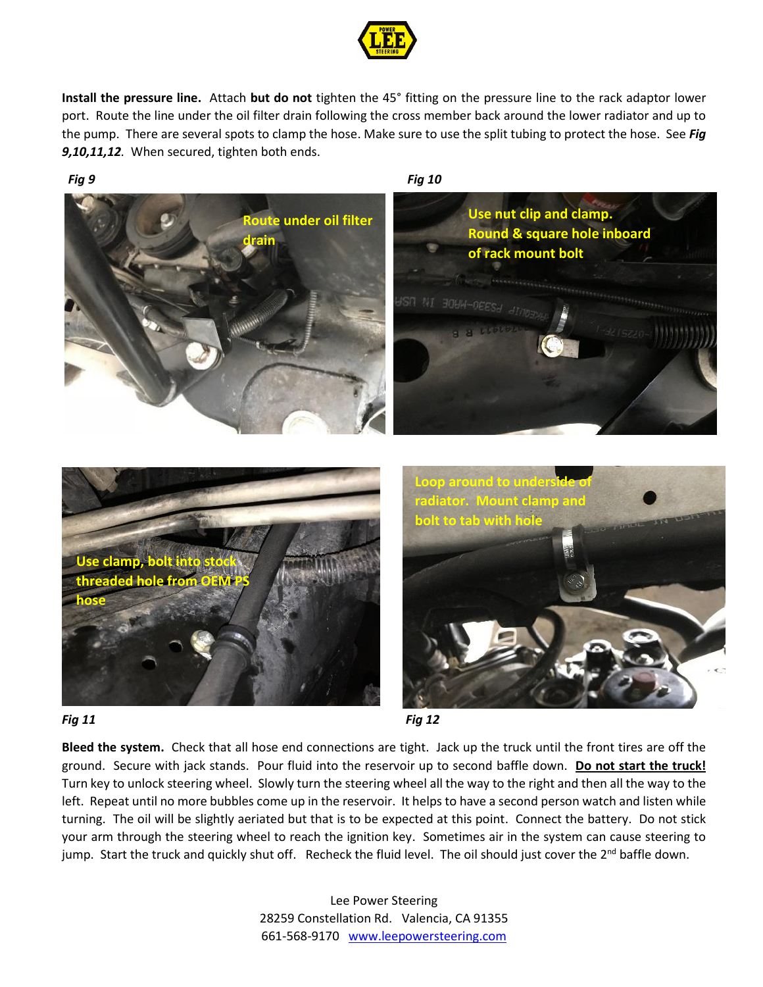

**Install the pressure line.** Attach **but do not** tighten the 45° fitting on the pressure line to the rack adaptor lower port. Route the line under the oil filter drain following the cross member back around the lower radiator and up to the pump. There are several spots to clamp the hose. Make sure to use the split tubing to protect the hose. See *Fig 9,10,11,12.* When secured, tighten both ends.

## *Fig 9 Fig 10* **Route under oil filter ain Use nut clip and clamp. Round & square hole inboard of rack mount bolt Use clamp. thead** ho **hose Loop around to un radiator. Mount clamp and bolt to tab with hole**



**Bleed the system.** Check that all hose end connections are tight. Jack up the truck until the front tires are off the ground. Secure with jack stands. Pour fluid into the reservoir up to second baffle down. **Do not start the truck!** Turn key to unlock steering wheel. Slowly turn the steering wheel all the way to the right and then all the way to the left. Repeat until no more bubbles come up in the reservoir. It helps to have a second person watch and listen while turning. The oil will be slightly aeriated but that is to be expected at this point. Connect the battery. Do not stick your arm through the steering wheel to reach the ignition key. Sometimes air in the system can cause steering to jump. Start the truck and quickly shut off. Recheck the fluid level. The oil should just cover the 2<sup>nd</sup> baffle down.

> Lee Power Steering 28259 Constellation Rd. Valencia, CA 91355 661-568-9170 [www.leepowersteering.com](http://www.leepowersteering.com/)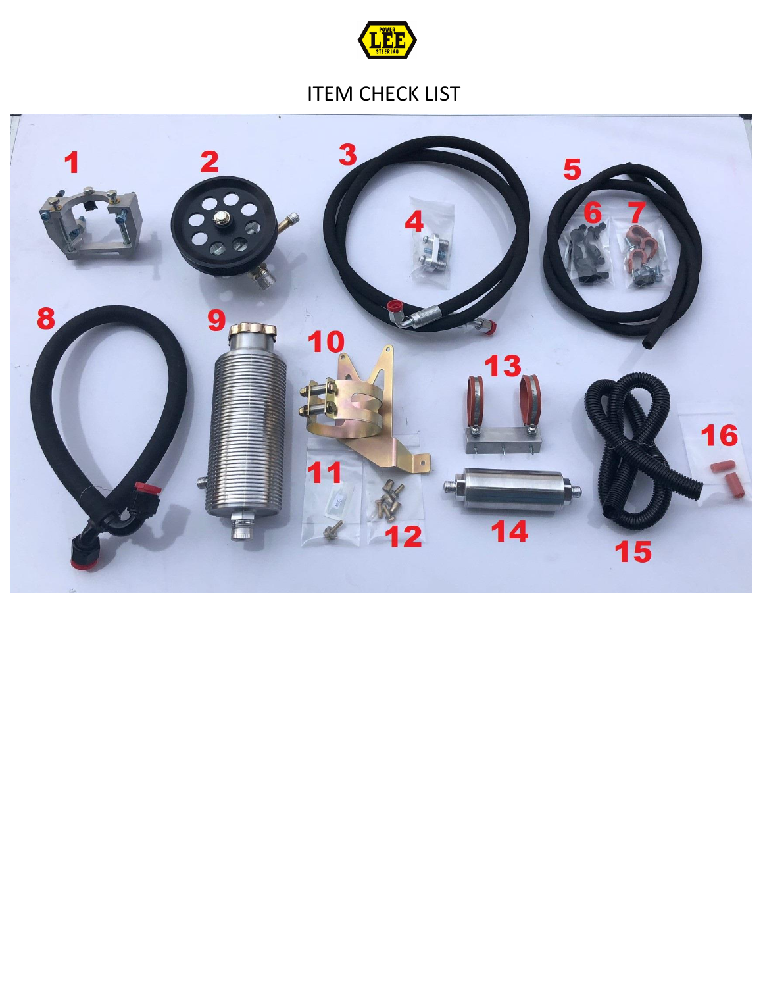

## ITEM CHECK LIST